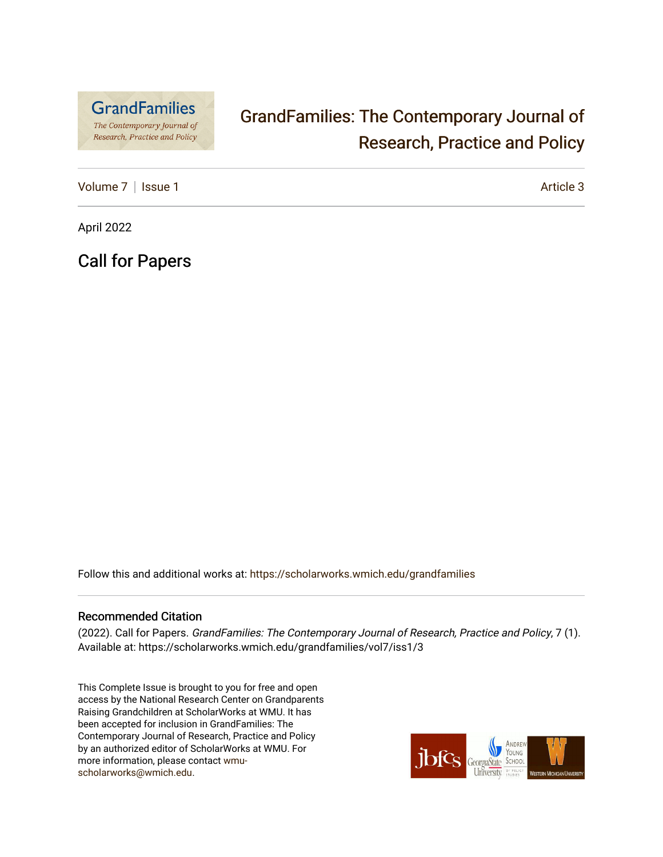

# [GrandFamilies: The Contemporary Journal of](https://scholarworks.wmich.edu/grandfamilies)  [Research, Practice and Policy](https://scholarworks.wmich.edu/grandfamilies)

[Volume 7](https://scholarworks.wmich.edu/grandfamilies/vol7) | [Issue 1](https://scholarworks.wmich.edu/grandfamilies/vol7/iss1) Article 3

April 2022

Call for Papers

Follow this and additional works at: [https://scholarworks.wmich.edu/grandfamilies](https://scholarworks.wmich.edu/grandfamilies?utm_source=scholarworks.wmich.edu%2Fgrandfamilies%2Fvol7%2Fiss1%2F3&utm_medium=PDF&utm_campaign=PDFCoverPages)

### Recommended Citation

(2022). Call for Papers. GrandFamilies: The Contemporary Journal of Research, Practice and Policy, 7 (1). Available at: https://scholarworks.wmich.edu/grandfamilies/vol7/iss1/3

This Complete Issue is brought to you for free and open access by the National Research Center on Grandparents Raising Grandchildren at ScholarWorks at WMU. It has been accepted for inclusion in GrandFamilies: The Contemporary Journal of Research, Practice and Policy by an authorized editor of ScholarWorks at WMU. For more information, please contact [wmu](mailto:wmu-scholarworks@wmich.edu)[scholarworks@wmich.edu.](mailto:wmu-scholarworks@wmich.edu)